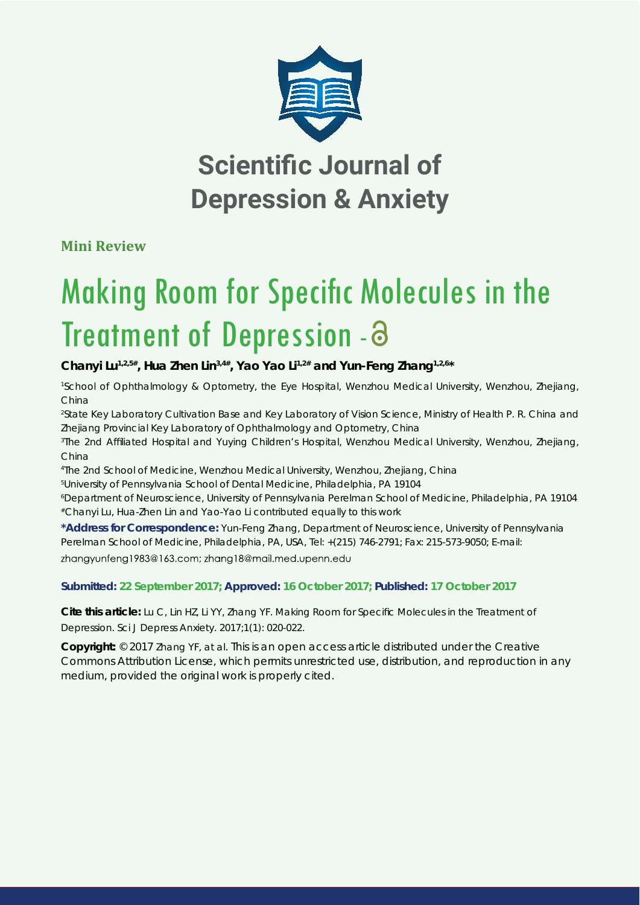

## **Scientific Journal of Depression & Anxiety**

**Mini Review**

# Making Room for Specific Molecules in the Treatment of Depression - a

**Chanyi Lu1,2,5#, Hua Zhen Lin3,4#, Yao Yao Li1,2# and Yun-Feng Zhang1,2,6\***

*1 School of Ophthalmology & Optometry, the Eye Hospital, Wenzhou Medical University, Wenzhou, Zhejiang, China*

*2 State Key Laboratory Cultivation Base and Key Laboratory of Vision Science, Ministry of Health P. R. China and Zhejiang Provincial Key Laboratory of Ophthalmology and Optometry, China*

*3 The 2nd Affi liated Hospital and Yuying Children's Hospital, Wenzhou Medical University, Wenzhou, Zhejiang, China*

*4 The 2nd School of Medicine, Wenzhou Medical University, Wenzhou, Zhejiang, China*

*5 University of Pennsylvania School of Dental Medicine, Philadelphia, PA 19104*

*6 Department of Neuroscience, University of Pennsylvania Perelman School of Medicine, Philadelphia, PA 19104 #Chanyi Lu, Hua-Zhen Lin and Yao-Yao Li contributed equally to this work*

**\*Address for Correspondence:** Yun-Feng Zhang, Department of Neuroscience, University of Pennsylvania Perelman School of Medicine, Philadelphia, PA, USA, Tel: +(215) 746-2791; Fax: 215-573-9050; E-mail: zhangyunfeng1983@163.com; zhang18@mail.med.upenn.edu

### **Submitted: 22 September 2017; Approved: 16 October 2017; Published: 17 October 2017**

**Cite this article:** Lu C, Lin HZ, Li YY, Zhang YF. Making Room for Specific Molecules in the Treatment of Depression. Sci J Depress Anxiety. 2017;1(1): 020-022.

**Copyright:** © 2017 Zhang YF, at al. This is an open access article distributed under the Creative Commons Attribution License, which permits unrestricted use, distribution, and reproduction in any medium, provided the original work is properly cited.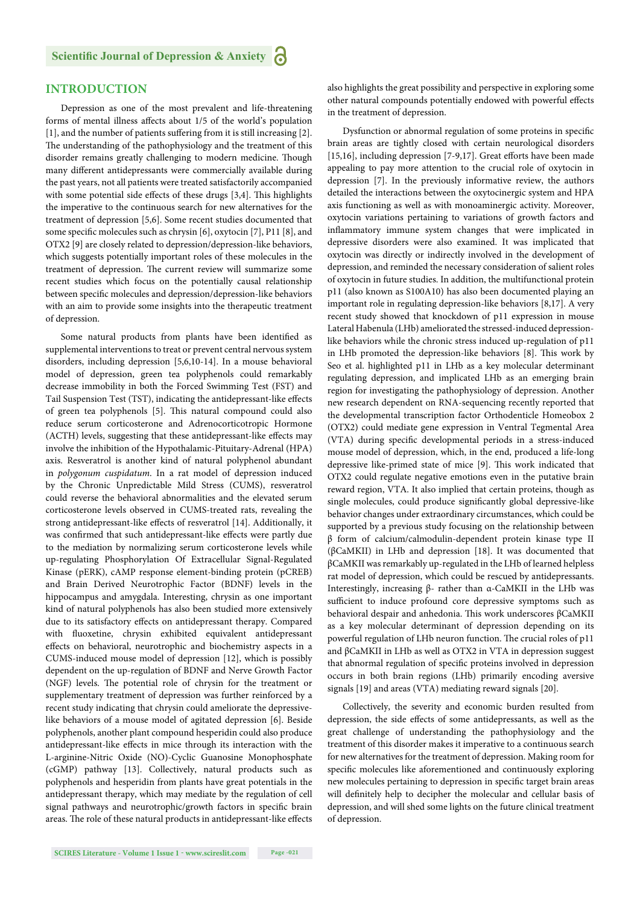#### **INTRODUCTION**

Depression as one of the most prevalent and life-threatening forms of mental illness affects about 1/5 of the world's population [1], and the number of patients suffering from it is still increasing [2]. The understanding of the pathophysiology and the treatment of this disorder remains greatly challenging to modern medicine. Though many different antidepressants were commercially available during the past years, not all patients were treated satisfactorily accompanied with some potential side effects of these drugs [3,4]. This highlights the imperative to the continuous search for new alternatives for the treatment of depression [5,6]. Some recent studies documented that some specific molecules such as chrysin [6], oxytocin [7], P11 [8], and OTX2 [9] are closely related to depression/depression-like behaviors, which suggests potentially important roles of these molecules in the treatment of depression. The current review will summarize some recent studies which focus on the potentially causal relationship between specific molecules and depression/depression-like behaviors with an aim to provide some insights into the therapeutic treatment of depression.

Some natural products from plants have been identified as supplemental interventions to treat or prevent central nervous system disorders, including depression [5,6,10-14]. In a mouse behavioral model of depression, green tea polyphenols could remarkably decrease immobility in both the Forced Swimming Test (FST) and Tail Suspension Test (TST), indicating the antidepressant-like effects of green tea polyphenols [5]. This natural compound could also reduce serum corticosterone and Adrenocorticotropic Hormone (ACTH) levels, suggesting that these antidepressant-like effects may involve the inhibition of the Hypothalamic-Pituitary-Adrenal (HPA) axis. Resveratrol is another kind of natural polyphenol abundant in *polygonum cuspidatum*. In a rat model of depression induced by the Chronic Unpredictable Mild Stress (CUMS), resveratrol could reverse the behavioral abnormalities and the elevated serum corticosterone levels observed in CUMS-treated rats, revealing the strong antidepressant-like effects of resveratrol [14]. Additionally, it was confirmed that such antidepressant-like effects were partly due to the mediation by normalizing serum corticosterone levels while up-regulating Phosphorylation Of Extracellular Signal-Regulated Kinase (pERK), cAMP response element-binding protein (pCREB) and Brain Derived Neurotrophic Factor (BDNF) levels in the hippocampus and amygdala. Interesting, chrysin as one important kind of natural polyphenols has also been studied more extensively due to its satisfactory effects on antidepressant therapy. Compared with fluoxetine, chrysin exhibited equivalent antidepressant effects on behavioral, neurotrophic and biochemistry aspects in a CUMS-induced mouse model of depression [12], which is possibly dependent on the up-regulation of BDNF and Nerve Growth Factor (NGF) levels. The potential role of chrysin for the treatment or supplementary treatment of depression was further reinforced by a recent study indicating that chrysin could ameliorate the depressivelike behaviors of a mouse model of agitated depression [6]. Beside polyphenols, another plant compound hesperidin could also produce antidepressant-like effects in mice through its interaction with the L-arginine-Nitric Oxide (NO)-Cyclic Guanosine Monophosphate (cGMP) pathway [13]. Collectively, natural products such as polyphenols and hesperidin from plants have great potentials in the antidepressant therapy, which may mediate by the regulation of cell signal pathways and neurotrophic/growth factors in specific brain areas. The role of these natural products in antidepressant-like effects also highlights the great possibility and perspective in exploring some other natural compounds potentially endowed with powerful effects in the treatment of depression.

Dysfunction or abnormal regulation of some proteins in specific brain areas are tightly closed with certain neurological disorders [15,16], including depression [7-9,17]. Great efforts have been made appealing to pay more attention to the crucial role of oxytocin in depression [7]. In the previously informative review, the authors detailed the interactions between the oxytocinergic system and HPA axis functioning as well as with monoaminergic activity. Moreover, oxytocin variations pertaining to variations of growth factors and inflammatory immune system changes that were implicated in depressive disorders were also examined. It was implicated that oxytocin was directly or indirectly involved in the development of depression, and reminded the necessary consideration of salient roles of oxytocin in future studies. In addition, the multifunctional protein p11 (also known as S100A10) has also been documented playing an important role in regulating depression-like behaviors [8,17]. A very recent study showed that knockdown of p11 expression in mouse Lateral Habenula (LHb) ameliorated the stressed-induced depressionlike behaviors while the chronic stress induced up-regulation of p11 in LHb promoted the depression-like behaviors [8]. This work by Seo et al. highlighted p11 in LHb as a key molecular determinant regulating depression, and implicated LHb as an emerging brain region for investigating the pathophysiology of depression. Another new research dependent on RNA-sequencing recently reported that the developmental transcription factor Orthodenticle Homeobox 2 (OTX2) could mediate gene expression in Ventral Tegmental Area (VTA) during specific developmental periods in a stress-induced mouse model of depression, which, in the end, produced a life-long depressive like-primed state of mice [9]. This work indicated that OTX2 could regulate negative emotions even in the putative brain reward region, VTA. It also implied that certain proteins, though as single molecules, could produce significantly global depressive-like behavior changes under extraordinary circumstances, which could be supported by a previous study focusing on the relationship between β form of calcium/calmodulin-dependent protein kinase type II (βCaMKII) in LHb and depression [18]. It was documented that βCaMKII was remarkably up-regulated in the LHb of learned helpless rat model of depression, which could be rescued by antidepressants. Interestingly, increasing β- rather than α-CaMKII in the LHb was sufficient to induce profound core depressive symptoms such as behavioral despair and anhedonia. This work underscores βCaMKII as a key molecular determinant of depression depending on its powerful regulation of LHb neuron function. The crucial roles of p11 and βCaMKII in LHb as well as OTX2 in VTA in depression suggest that abnormal regulation of specific proteins involved in depression occurs in both brain regions (LHb) primarily encoding aversive signals [19] and areas (VTA) mediating reward signals [20].

Collectively, the severity and economic burden resulted from depression, the side effects of some antidepressants, as well as the great challenge of understanding the pathophysiology and the treatment of this disorder makes it imperative to a continuous search for new alternatives for the treatment of depression. Making room for specific molecules like aforementioned and continuously exploring new molecules pertaining to depression in specific target brain areas will definitely help to decipher the molecular and cellular basis of depression, and will shed some lights on the future clinical treatment of depression.